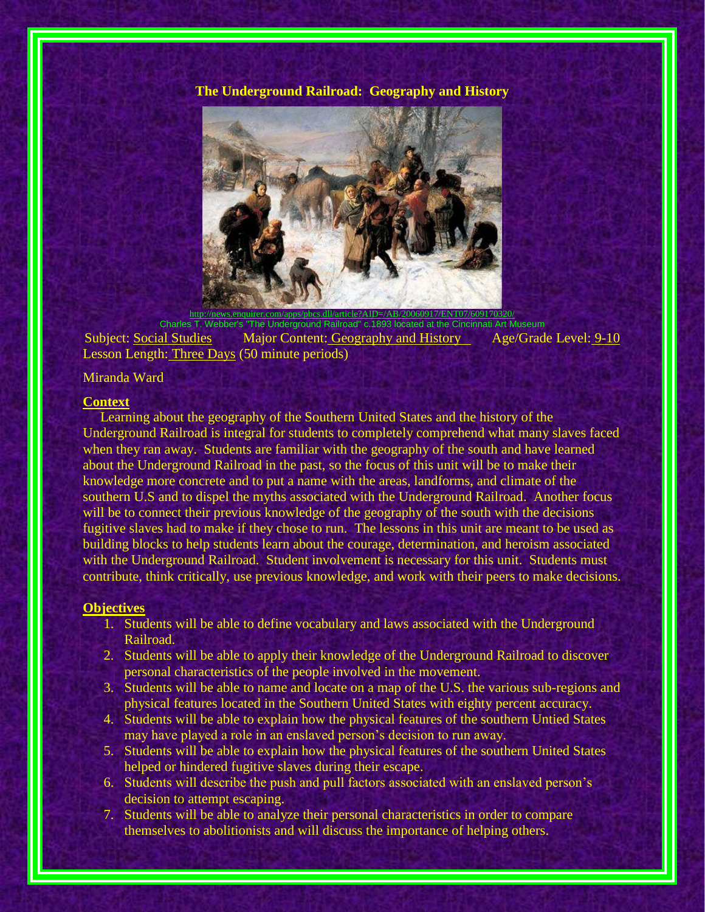**The Underground Railroad: Geography and History**



Charles T. Webber's "The Underground Railroad" c.1893 located at the Cincinnati Art Museum Subject: Social Studies Major Content: Geography and History Age/Grade Level: 9-10 Lesson Length: Three Days (50 minute periods)

#### Miranda Ward

## **Context**

 Learning about the geography of the Southern United States and the history of the Underground Railroad is integral for students to completely comprehend what many slaves faced when they ran away. Students are familiar with the geography of the south and have learned about the Underground Railroad in the past, so the focus of this unit will be to make their knowledge more concrete and to put a name with the areas, landforms, and climate of the southern U.S and to dispel the myths associated with the Underground Railroad. Another focus will be to connect their previous knowledge of the geography of the south with the decisions fugitive slaves had to make if they chose to run. The lessons in this unit are meant to be used as building blocks to help students learn about the courage, determination, and heroism associated with the Underground Railroad. Student involvement is necessary for this unit. Students must contribute, think critically, use previous knowledge, and work with their peers to make decisions.

#### **Objectives**

- 1. Students will be able to define vocabulary and laws associated with the Underground Railroad.
- 2. Students will be able to apply their knowledge of the Underground Railroad to discover personal characteristics of the people involved in the movement.
- 3. Students will be able to name and locate on a map of the U.S. the various sub-regions and physical features located in the Southern United States with eighty percent accuracy.
- 4. Students will be able to explain how the physical features of the southern Untied States may have played a role in an enslaved person's decision to run away.
- 5. Students will be able to explain how the physical features of the southern United States helped or hindered fugitive slaves during their escape.
- 6. Students will describe the push and pull factors associated with an enslaved person's decision to attempt escaping.
- 7. Students will be able to analyze their personal characteristics in order to compare themselves to abolitionists and will discuss the importance of helping others.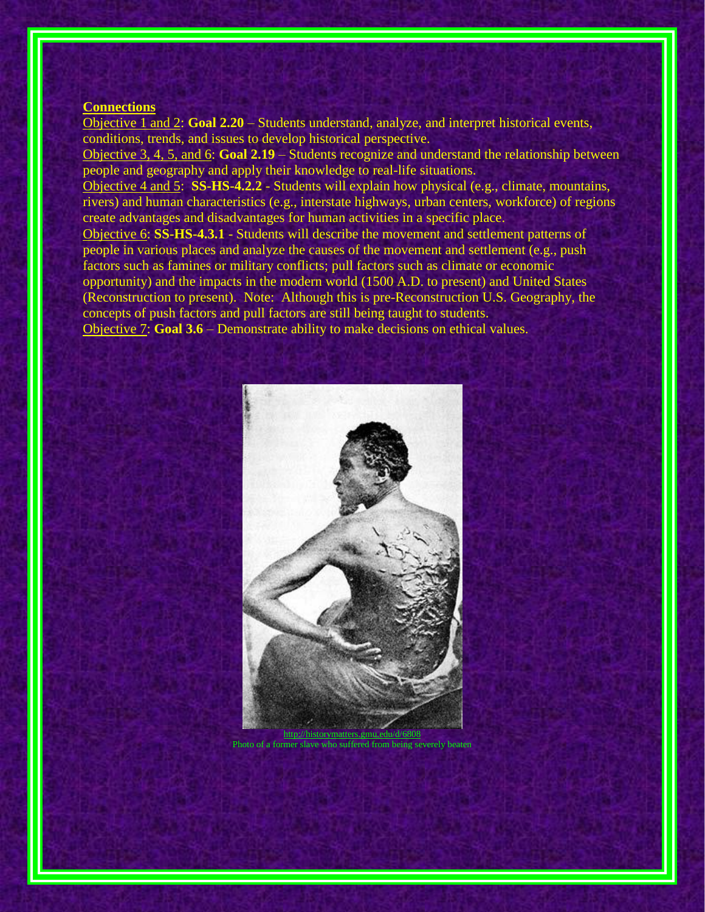#### **Connections**

Objective 1 and 2: **Goal 2.20** – Students understand, analyze, and interpret historical events, conditions, trends, and issues to develop historical perspective.

Objective 3, 4, 5, and 6: **Goal 2.19** – Students recognize and understand the relationship between people and geography and apply their knowledge to real-life situations.

Objective 4 and 5: **SS-HS-4.2.2** - Students will explain how physical (e.g., climate, mountains, rivers) and human characteristics (e.g., interstate highways, urban centers, workforce) of regions create advantages and disadvantages for human activities in a specific place.

Objective 6: **SS-HS-4.3.1** - Students will describe the movement and settlement patterns of people in various places and analyze the causes of the movement and settlement (e.g., push factors such as famines or military conflicts; pull factors such as climate or economic opportunity) and the impacts in the modern world (1500 A.D. to present) and United States (Reconstruction to present). Note: Although this is pre-Reconstruction U.S. Geography, the concepts of push factors and pull factors are still being taught to students.

Objective 7: **Goal 3.6** – Demonstrate ability to make decisions on ethical values.



Photo of a former slave who suffered from being severely beaten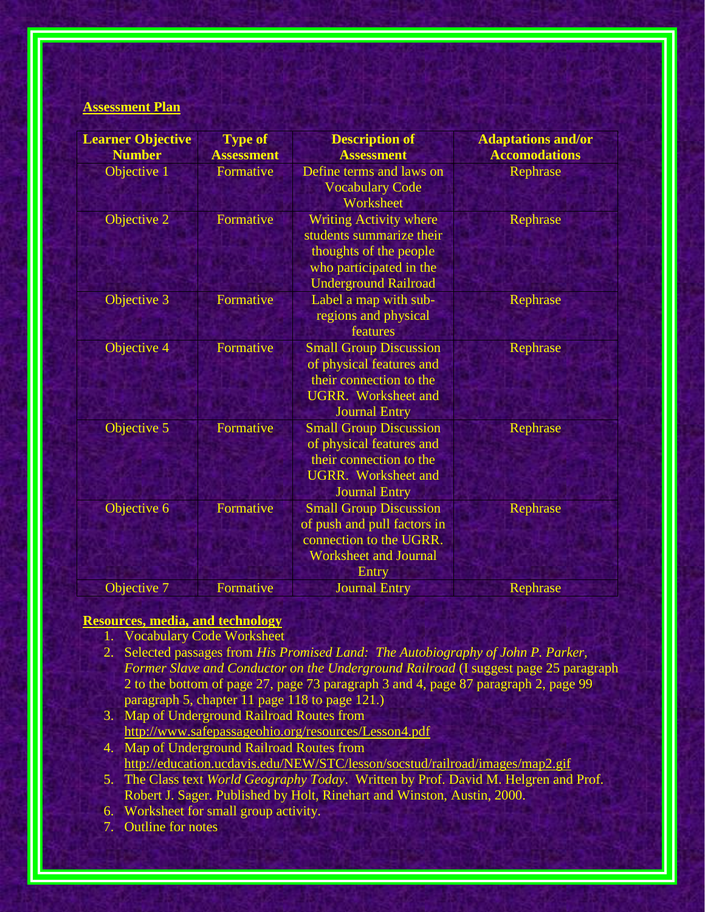## **Assessment Plan**

| <b>Learner Objective</b><br><b>Number</b> | <b>Type of</b><br><b>Assessment</b> | <b>Description of</b><br><b>Assessment</b>                                                                                                    | <b>Adaptations and/or</b><br><b>Accomodations</b> |
|-------------------------------------------|-------------------------------------|-----------------------------------------------------------------------------------------------------------------------------------------------|---------------------------------------------------|
| Objective 1                               | Formative                           | Define terms and laws on<br><b>Vocabulary Code</b><br>Worksheet                                                                               | Rephrase                                          |
| Objective 2                               | Formative                           | <b>Writing Activity where</b><br>students summarize their<br>thoughts of the people<br>who participated in the<br><b>Underground Railroad</b> | Rephrase                                          |
| Objective 3                               | Formative                           | Label a map with sub-<br>regions and physical<br>features                                                                                     | Rephrase                                          |
| Objective 4                               | Formative                           | <b>Small Group Discussion</b><br>of physical features and<br>their connection to the<br><b>UGRR.</b> Worksheet and<br><b>Journal Entry</b>    | Rephrase                                          |
| Objective 5                               | Formative                           | <b>Small Group Discussion</b><br>of physical features and<br>their connection to the<br><b>UGRR.</b> Worksheet and<br><b>Journal Entry</b>    | Rephrase                                          |
| Objective 6                               | Formative                           | <b>Small Group Discussion</b><br>of push and pull factors in<br>connection to the UGRR.<br><b>Worksheet and Journal</b><br><b>Entry</b>       | Rephrase                                          |
| Objective 7                               | Formative                           | <b>Journal Entry</b>                                                                                                                          | Rephrase                                          |

# **Resources, media, and technology**

- 1. Vocabulary Code Worksheet
- 2. Selected passages from *His Promised Land: The Autobiography of John P. Parker, Former Slave and Conductor on the Underground Railroad* (I suggest page 25 paragraph 2 to the bottom of page 27, page 73 paragraph 3 and 4, page 87 paragraph 2, page 99 paragraph 5, chapter 11 page 118 to page 121.)
- 3. Map of Underground Railroad Routes from <http://www.safepassageohio.org/resources/Lesson4.pdf>
- 4. Map of Underground Railroad Routes from <http://education.ucdavis.edu/NEW/STC/lesson/socstud/railroad/images/map2.gif>
- 5. The Class text *World Geography Today*. Written by Prof. David M. Helgren and Prof. Robert J. Sager. Published by Holt, Rinehart and Winston, Austin, 2000.
- 6. Worksheet for small group activity.
- 7. Outline for notes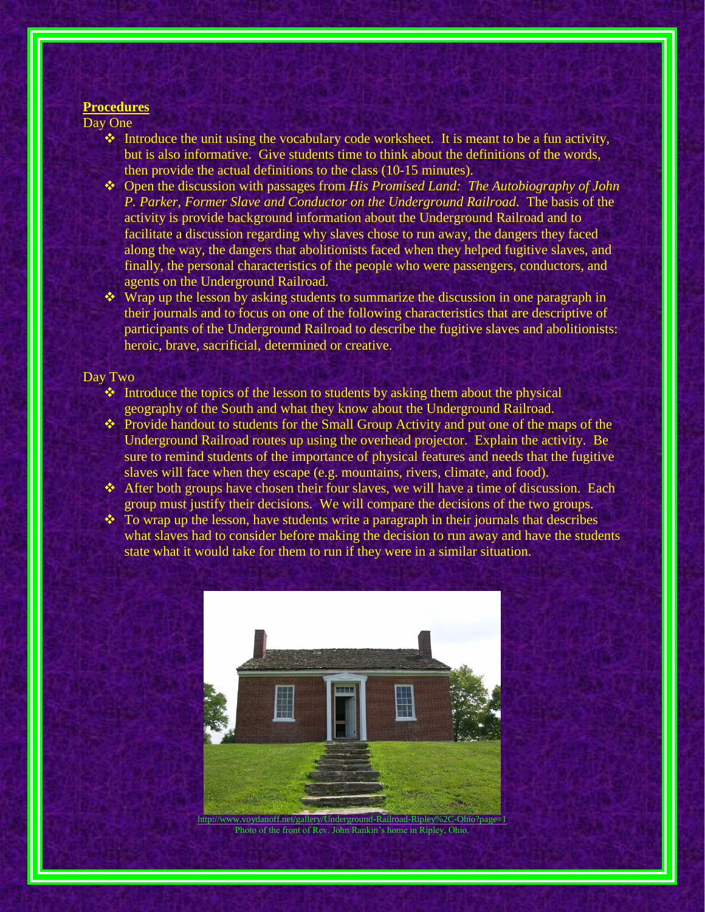### **Procedures**

Day One

- $\cdot$  Introduce the unit using the vocabulary code worksheet. It is meant to be a fun activity, but is also informative. Give students time to think about the definitions of the words, then provide the actual definitions to the class (10-15 minutes).
- Open the discussion with passages from *His Promised Land: The Autobiography of John P. Parker, Former Slave and Conductor on the Underground Railroad*. The basis of the activity is provide background information about the Underground Railroad and to facilitate a discussion regarding why slaves chose to run away, the dangers they faced along the way, the dangers that abolitionists faced when they helped fugitive slaves, and finally, the personal characteristics of the people who were passengers, conductors, and agents on the Underground Railroad.
- Wrap up the lesson by asking students to summarize the discussion in one paragraph in their journals and to focus on one of the following characteristics that are descriptive of participants of the Underground Railroad to describe the fugitive slaves and abolitionists: heroic, brave, sacrificial, determined or creative.

#### Day Two

- $\cdot$  Introduce the topics of the lesson to students by asking them about the physical geography of the South and what they know about the Underground Railroad.
- Provide handout to students for the Small Group Activity and put one of the maps of the Underground Railroad routes up using the overhead projector. Explain the activity. Be sure to remind students of the importance of physical features and needs that the fugitive slaves will face when they escape (e.g. mountains, rivers, climate, and food).
- After both groups have chosen their four slaves, we will have a time of discussion. Each group must justify their decisions. We will compare the decisions of the two groups.
- $\triangle$  To wrap up the lesson, have students write a paragraph in their journals that describes what slaves had to consider before making the decision to run away and have the students state what it would take for them to run if they were in a similar situation.



Photo of the front of Rev. John Rankin's home in Ripley, Ohio.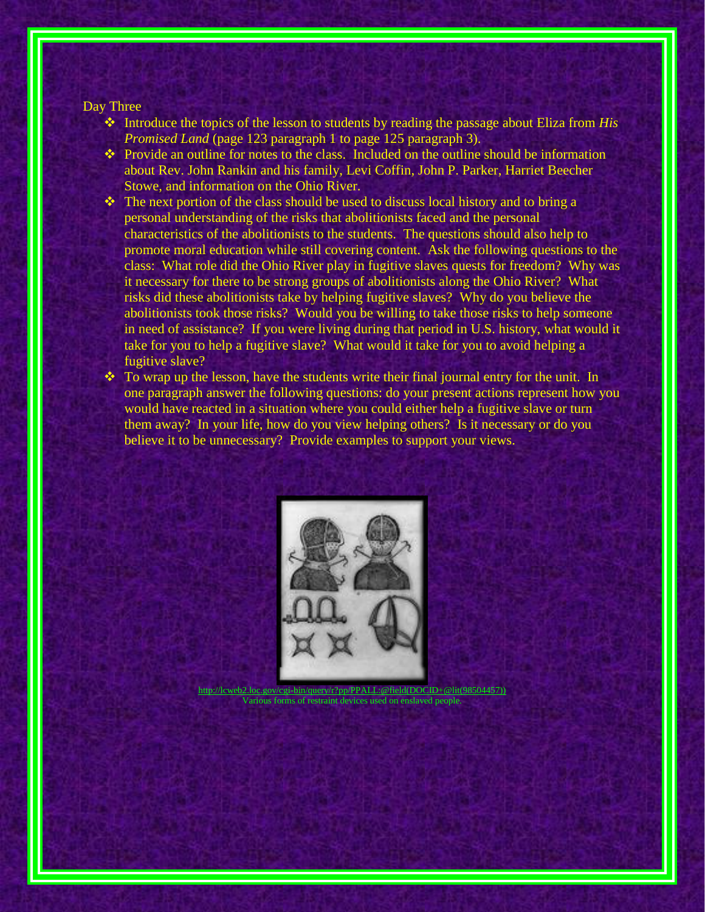### Day Three

- Introduce the topics of the lesson to students by reading the passage about Eliza from *His Promised Land* (page 123 paragraph 1 to page 125 paragraph 3).
- Provide an outline for notes to the class. Included on the outline should be information about Rev. John Rankin and his family, Levi Coffin, John P. Parker, Harriet Beecher Stowe, and information on the Ohio River.
- $\cdot \cdot$  The next portion of the class should be used to discuss local history and to bring a personal understanding of the risks that abolitionists faced and the personal characteristics of the abolitionists to the students. The questions should also help to promote moral education while still covering content. Ask the following questions to the class: What role did the Ohio River play in fugitive slaves quests for freedom? Why was it necessary for there to be strong groups of abolitionists along the Ohio River? What risks did these abolitionists take by helping fugitive slaves? Why do you believe the abolitionists took those risks? Would you be willing to take those risks to help someone in need of assistance? If you were living during that period in U.S. history, what would it take for you to help a fugitive slave? What would it take for you to avoid helping a fugitive slave?
- $\bullet$  To wrap up the lesson, have the students write their final journal entry for the unit. In one paragraph answer the following questions: do your present actions represent how you would have reacted in a situation where you could either help a fugitive slave or turn them away? In your life, how do you view helping others? Is it necessary or do you believe it to be unnecessary? Provide examples to support your views.



[http://lcweb2.loc.gov/cgi-bin/query/r?pp/PPALL:@field\(DOCID+@lit\(98504457\)\)](http://lcweb2.loc.gov/cgi-bin/query/r?pp/PPALL:@field(DOCID+@lit(98504457))) Various forms of restraint devices used on enslaved people.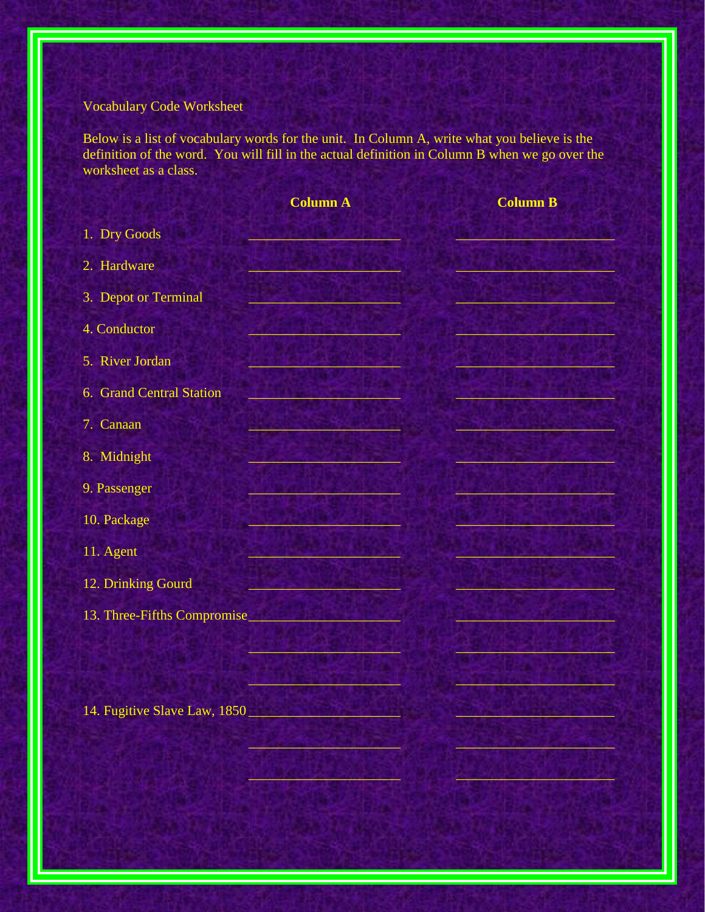# Vocabulary Code Worksheet

Below is a list of vocabulary words for the unit. In Column A, write what you believe is the definition of the word. You will fill in the actual definition in Column B when we go over the worksheet as a class.

|                              | <b>Column A</b> | <b>Column B</b> |
|------------------------------|-----------------|-----------------|
| 1. Dry Goods                 |                 |                 |
| 2. Hardware                  |                 |                 |
| 3. Depot or Terminal         |                 |                 |
| 4. Conductor                 |                 |                 |
| 5. River Jordan              |                 |                 |
| 6. Grand Central Station     |                 |                 |
| 7. Canaan                    |                 |                 |
| 8. Midnight                  |                 |                 |
| 9. Passenger                 |                 |                 |
| 10. Package                  |                 |                 |
|                              |                 |                 |
| 11. Agent                    |                 |                 |
| 12. Drinking Gourd           |                 |                 |
| 13. Three-Fifths Compromise  |                 |                 |
|                              |                 |                 |
|                              |                 |                 |
|                              |                 |                 |
| 14. Fugitive Slave Law, 1850 |                 |                 |
|                              |                 |                 |
|                              |                 |                 |
|                              |                 |                 |
|                              |                 |                 |
|                              |                 |                 |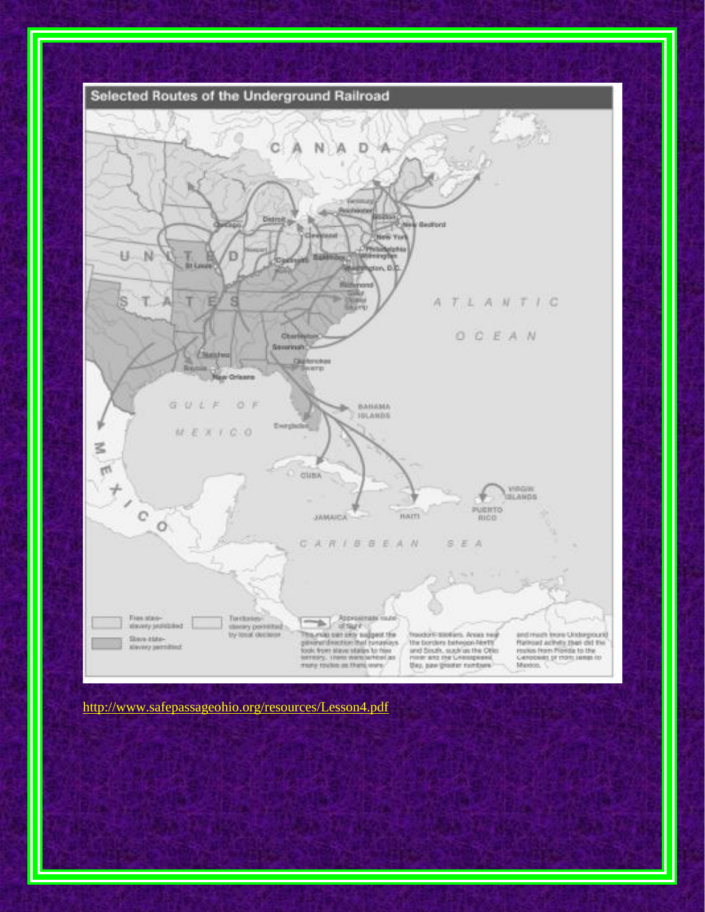

<http://www.safepassageohio.org/resources/Lesson4.pdf>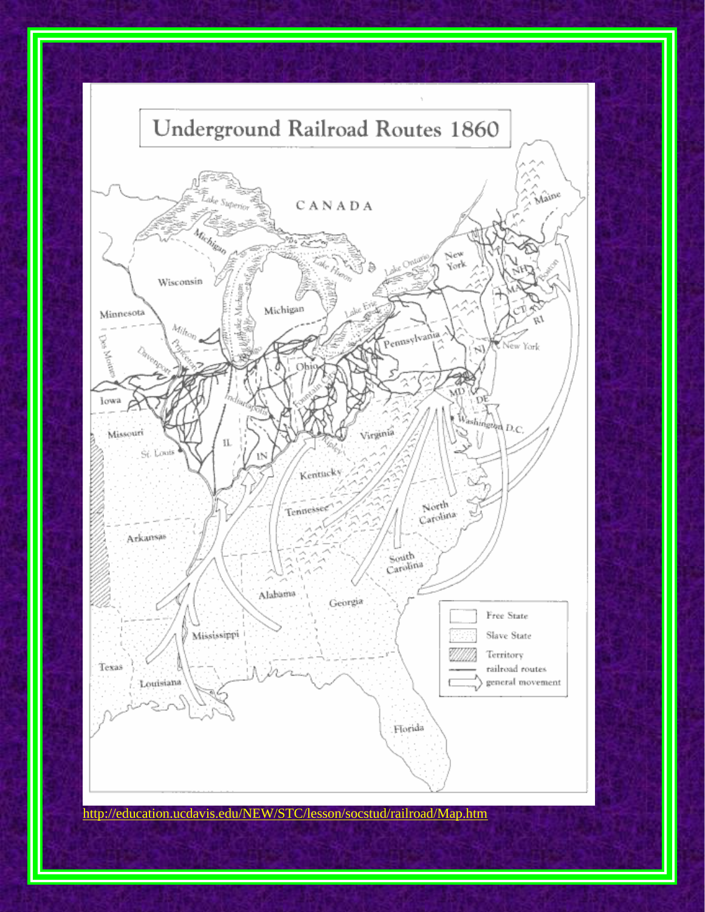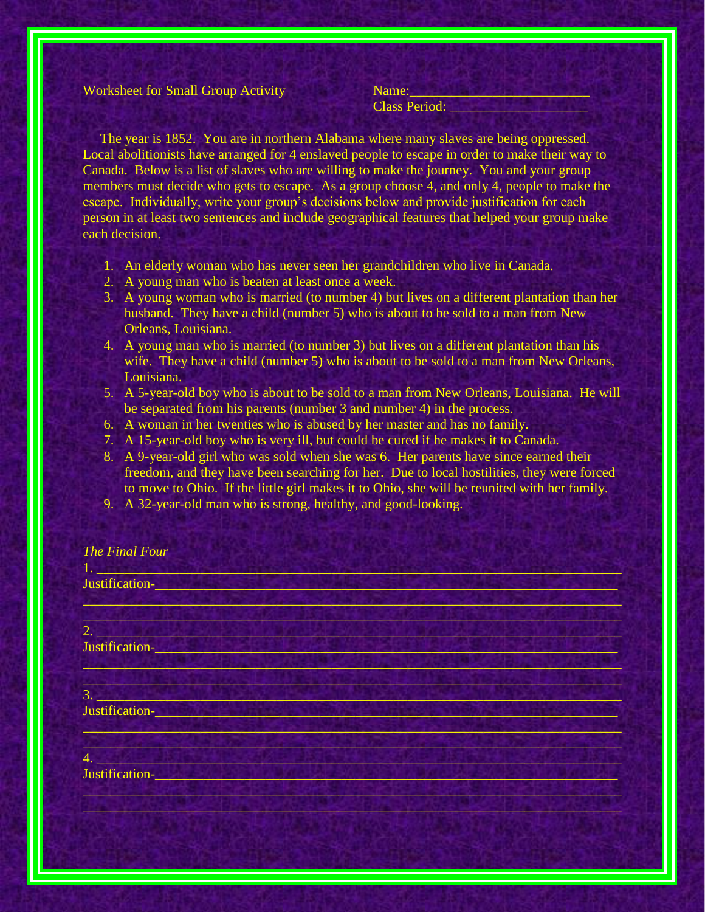Worksheet for Small Group Activity Name:

Class Period:

 The year is 1852. You are in northern Alabama where many slaves are being oppressed. Local abolitionists have arranged for 4 enslaved people to escape in order to make their way to Canada. Below is a list of slaves who are willing to make the journey. You and your group members must decide who gets to escape. As a group choose 4, and only 4, people to make the escape. Individually, write your group's decisions below and provide justification for each person in at least two sentences and include geographical features that helped your group make each decision.

- 1. An elderly woman who has never seen her grandchildren who live in Canada.
- 2. A young man who is beaten at least once a week.
- 3. A young woman who is married (to number 4) but lives on a different plantation than her husband. They have a child (number 5) who is about to be sold to a man from New Orleans, Louisiana.
- 4. A young man who is married (to number 3) but lives on a different plantation than his wife. They have a child (number 5) who is about to be sold to a man from New Orleans, Louisiana.
- 5. A 5-year-old boy who is about to be sold to a man from New Orleans, Louisiana. He will be separated from his parents (number 3 and number 4) in the process.
- 6. A woman in her twenties who is abused by her master and has no family.
- 7. A 15-year-old boy who is very ill, but could be cured if he makes it to Canada.
- 8. A 9-year-old girl who was sold when she was 6. Her parents have since earned their freedom, and they have been searching for her. Due to local hostilities, they were forced to move to Ohio. If the little girl makes it to Ohio, she will be reunited with her family.
- 9. A 32-year-old man who is strong, healthy, and good-looking.

| The Final Four                             |                                       |  |  |
|--------------------------------------------|---------------------------------------|--|--|
| 1.<br><u> Little von de statistike en </u> |                                       |  |  |
| Justification-                             |                                       |  |  |
| the product of the con-                    |                                       |  |  |
|                                            |                                       |  |  |
| 2.<br>an wuxuu saa sacaana k               |                                       |  |  |
| Justification-                             | <b>SHOW DOWN HOMES</b>                |  |  |
|                                            |                                       |  |  |
|                                            |                                       |  |  |
| $\overline{3}$ .                           |                                       |  |  |
| Justification-                             | <b>OUTSTAND BEEN THE REPORT OF ST</b> |  |  |
|                                            |                                       |  |  |
| <b>REGISTER</b>                            |                                       |  |  |
| 4.<br><b>PRAISPICAL DAY</b>                |                                       |  |  |
| Justification-<br><b>DANC SPANNERS AND</b> |                                       |  |  |
|                                            |                                       |  |  |
|                                            |                                       |  |  |
|                                            |                                       |  |  |